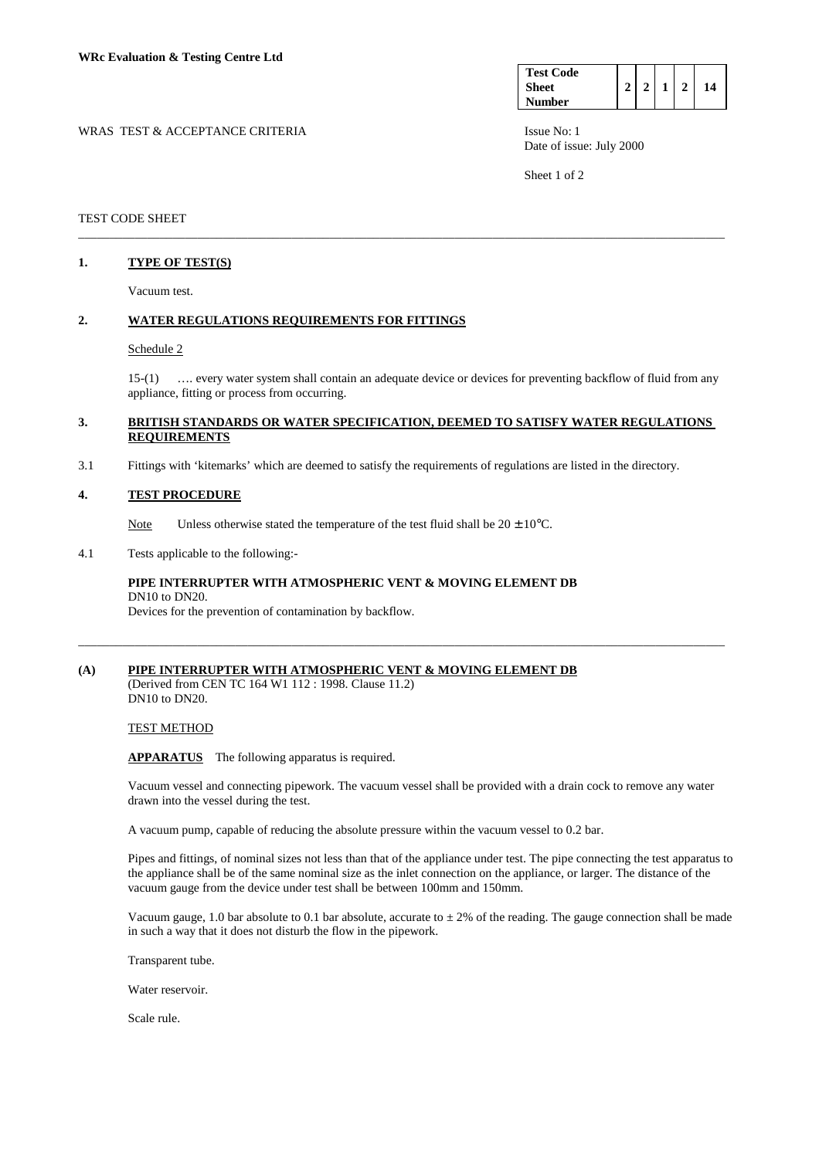| <b>Test Code</b> |  |  |    |
|------------------|--|--|----|
| <b>Sheet</b>     |  |  | 14 |
| <b>Number</b>    |  |  |    |

WRAS TEST & ACCEPTANCE CRITERIA ISSUE No: 1 Date of issue: July 2000

Sheet 1 of 2

## TEST CODE SHEET

## **1. TYPE OF TEST(S)**

Vacuum test.

## **2. WATER REGULATIONS REQUIREMENTS FOR FITTINGS**

#### Schedule 2

 15-(1) …. every water system shall contain an adequate device or devices for preventing backflow of fluid from any appliance, fitting or process from occurring.

## **3. BRITISH STANDARDS OR WATER SPECIFICATION, DEEMED TO SATISFY WATER REGULATIONS REQUIREMENTS**

\_\_\_\_\_\_\_\_\_\_\_\_\_\_\_\_\_\_\_\_\_\_\_\_\_\_\_\_\_\_\_\_\_\_\_\_\_\_\_\_\_\_\_\_\_\_\_\_\_\_\_\_\_\_\_\_\_\_\_\_\_\_\_\_\_\_\_\_\_\_\_\_\_\_\_\_\_\_\_\_\_\_\_\_\_\_\_\_\_\_\_\_\_\_\_\_\_\_\_\_\_\_\_

3.1 Fittings with 'kitemarks' which are deemed to satisfy the requirements of regulations are listed in the directory.

#### **4. TEST PROCEDURE**

Note Unless otherwise stated the temperature of the test fluid shall be  $20 \pm 10^{\circ}$ C.

4.1 Tests applicable to the following:-

# **PIPE INTERRUPTER WITH ATMOSPHERIC VENT & MOVING ELEMENT DB**  DN10 to DN20.

Devices for the prevention of contamination by backflow.

# **(A) PIPE INTERRUPTER WITH ATMOSPHERIC VENT & MOVING ELEMENT DB**

(Derived from CEN TC 164 W1 112 : 1998. Clause 11.2) DN10 to DN20.

### TEST METHOD

**APPARATUS** The following apparatus is required.

 Vacuum vessel and connecting pipework. The vacuum vessel shall be provided with a drain cock to remove any water drawn into the vessel during the test.

\_\_\_\_\_\_\_\_\_\_\_\_\_\_\_\_\_\_\_\_\_\_\_\_\_\_\_\_\_\_\_\_\_\_\_\_\_\_\_\_\_\_\_\_\_\_\_\_\_\_\_\_\_\_\_\_\_\_\_\_\_\_\_\_\_\_\_\_\_\_\_\_\_\_\_\_\_\_\_\_\_\_\_\_\_\_\_\_\_\_\_\_\_\_\_\_\_\_\_\_\_\_\_

A vacuum pump, capable of reducing the absolute pressure within the vacuum vessel to 0.2 bar.

 Pipes and fittings, of nominal sizes not less than that of the appliance under test. The pipe connecting the test apparatus to the appliance shall be of the same nominal size as the inlet connection on the appliance, or larger. The distance of the vacuum gauge from the device under test shall be between 100mm and 150mm.

Vacuum gauge, 1.0 bar absolute to 0.1 bar absolute, accurate to  $\pm 2\%$  of the reading. The gauge connection shall be made in such a way that it does not disturb the flow in the pipework.

Transparent tube.

Water reservoir.

Scale rule.